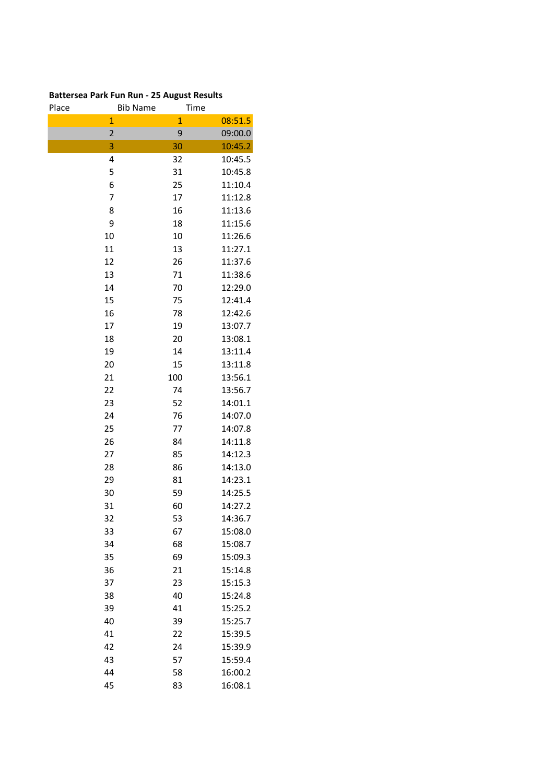## **Battersea Park Fun Run - 25 August Results**

| Place | <b>Bib Name</b> | Time         |         |
|-------|-----------------|--------------|---------|
|       | $\mathbf{1}$    | $\mathbf{1}$ | 08:51.5 |
|       | $\overline{2}$  | 9            | 09:00.0 |
|       | 3               | 30           | 10:45.2 |
|       | 4               | 32           | 10:45.5 |
|       | 5               | 31           | 10:45.8 |
|       | 6               | 25           | 11:10.4 |
|       | 7               | 17           | 11:12.8 |
|       | 8               | 16           | 11:13.6 |
|       | 9               | 18           | 11:15.6 |
|       | 10              | 10           | 11:26.6 |
|       | 11              | 13           | 11:27.1 |
|       | 12              | 26           | 11:37.6 |
|       | 13              | 71           | 11:38.6 |
|       | 14              | 70           | 12:29.0 |
|       | 15              | 75           | 12:41.4 |
|       | 16              | 78           | 12:42.6 |
|       | 17              | 19           | 13:07.7 |
|       | 18              | 20           | 13:08.1 |
|       | 19              | 14           | 13:11.4 |
|       | 20              | 15           | 13:11.8 |
| 21    |                 | 100          | 13:56.1 |
|       | 22              | 74           | 13:56.7 |
| 23    |                 | 52           | 14:01.1 |
|       | 24              | 76           | 14:07.0 |
|       | 25              | 77           | 14:07.8 |
|       | 26              | 84           | 14:11.8 |
|       | 27              | 85           | 14:12.3 |
|       | 28              | 86           | 14:13.0 |
|       | 29              | 81           | 14:23.1 |
|       | 30              | 59           | 14:25.5 |
| 31    |                 | 60           | 14:27.2 |
|       | 32              | 53           | 14:36.7 |
| 33    |                 | 67           | 15:08.0 |
|       | 34              | 68           | 15:08.7 |
|       | 35              | 69           | 15:09.3 |
|       | 36              | 21           | 15:14.8 |
|       | 37              | 23           | 15:15.3 |
|       | 38              | 40           | 15:24.8 |
|       | 39              | 41           | 15:25.2 |
|       | 40              | 39           | 15:25.7 |
| 41    |                 | 22           | 15:39.5 |
|       | 42              | 24           | 15:39.9 |
| 43    |                 | 57           | 15:59.4 |
|       | 44              | 58           | 16:00.2 |
| 45    |                 | 83           | 16:08.1 |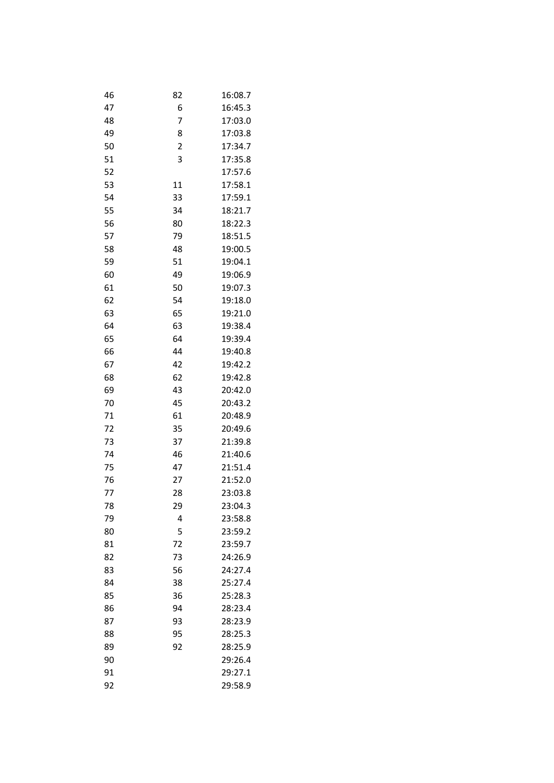| 46 | 82             | 16:08.7 |
|----|----------------|---------|
| 47 | 6              | 16:45.3 |
| 48 | 7              | 17:03.0 |
| 49 | 8              | 17:03.8 |
| 50 | $\overline{c}$ | 17:34.7 |
| 51 | 3              | 17:35.8 |
| 52 |                | 17:57.6 |
| 53 | 11             | 17:58.1 |
| 54 | 33             | 17:59.1 |
| 55 | 34             | 18:21.7 |
| 56 | 80             | 18:22.3 |
| 57 | 79             | 18:51.5 |
| 58 | 48             | 19:00.5 |
| 59 | 51             | 19:04.1 |
| 60 | 49             | 19:06.9 |
| 61 | 50             | 19:07.3 |
| 62 | 54             | 19:18.0 |
| 63 | 65             | 19:21.0 |
| 64 | 63             | 19:38.4 |
| 65 | 64             | 19:39.4 |
| 66 | 44             | 19:40.8 |
| 67 | 42             | 19:42.2 |
| 68 | 62             | 19:42.8 |
| 69 | 43             | 20:42.0 |
| 70 | 45             | 20:43.2 |
| 71 | 61             | 20:48.9 |
| 72 | 35             | 20:49.6 |
| 73 | 37             | 21:39.8 |
| 74 | 46             | 21:40.6 |
| 75 | 47             | 21:51.4 |
| 76 | 27             | 21:52.0 |
| 77 | 28             | 23:03.8 |
| 78 | 29             | 23.04.3 |
| 79 | 4              | 23:58.8 |
| 80 | 5              | 23:59.2 |
| 81 | 72             | 23:59.7 |
| 82 | 73             | 24:26.9 |
| 83 | 56             | 24:27.4 |
| 84 | 38             | 25:27.4 |
| 85 | 36             | 25:28.3 |
| 86 | 94             | 28:23.4 |
| 87 | 93             | 28:23.9 |
| 88 | 95             | 28:25.3 |
| 89 | 92             | 28:25.9 |
| 90 |                | 29:26.4 |
| 91 |                | 29:27.1 |
| 92 |                | 29:58.9 |